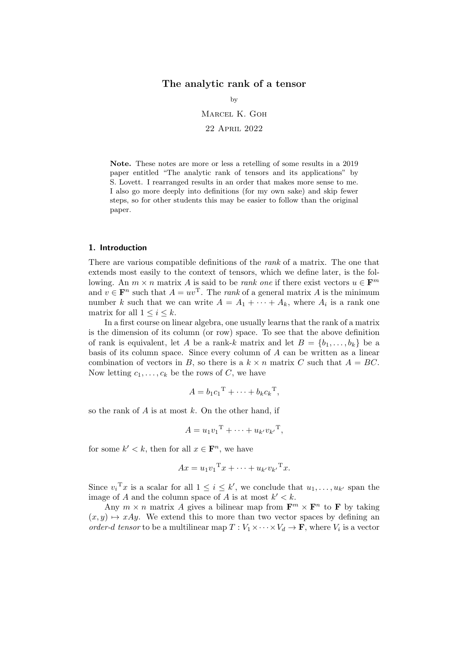# The analytic rank of a tensor

by Marcel K. Goh 22 April 2022

Note. These notes are more or less a retelling of some results in a 2019 paper entitled "The analytic rank of tensors and its applications" by S. Lovett. I rearranged results in an order that makes more sense to me. I also go more deeply into definitions (for my own sake) and skip fewer steps, so for other students this may be easier to follow than the original paper.

# 1. Introduction

There are various compatible definitions of the rank of a matrix. The one that extends most easily to the context of tensors, which we define later, is the following. An  $m \times n$  matrix A is said to be *rank one* if there exist vectors  $u \in \mathbf{F}^m$ and  $v \in \mathbf{F}^n$  such that  $A = uv^{\mathrm{T}}$ . The *rank* of a general matrix A is the minimum number k such that we can write  $A = A_1 + \cdots + A_k$ , where  $A_i$  is a rank one matrix for all  $1 \leq i \leq k$ .

In a first course on linear algebra, one usually learns that the rank of a matrix is the dimension of its column (or row) space. To see that the above definition of rank is equivalent, let A be a rank-k matrix and let  $B = \{b_1, \ldots, b_k\}$  be a basis of its column space. Since every column of A can be written as a linear combination of vectors in B, so there is a  $k \times n$  matrix C such that  $A = BC$ . Now letting  $c_1, \ldots, c_k$  be the rows of C, we have

$$
A = b_1 c_1^{\mathrm{T}} + \cdots + b_k c_k^{\mathrm{T}},
$$

so the rank of  $A$  is at most  $k$ . On the other hand, if

$$
A = u_1 v_1^{\mathrm{T}} + \cdots + u_{k'} v_{k'}^{\mathrm{T}},
$$

for some  $k' < k$ , then for all  $x \in \mathbf{F}^n$ , we have

$$
Ax = u_1v_1^{\mathrm{T}}x + \cdots + u_{k'}v_{k'}^{\mathrm{T}}x.
$$

Since  $v_i^{\mathrm{T}}x$  is a scalar for all  $1 \leq i \leq k'$ , we conclude that  $u_1, \ldots, u_{k'}$  span the image of A and the column space of A is at most  $k' < k$ .

Any  $m \times n$  matrix A gives a bilinear map from  $\mathbf{F}^m \times \mathbf{F}^n$  to **F** by taking  $(x, y) \mapsto xAy$ . We extend this to more than two vector spaces by defining an order-d tensor to be a multilinear map  $T: V_1 \times \cdots \times V_d \to \mathbf{F}$ , where  $V_i$  is a vector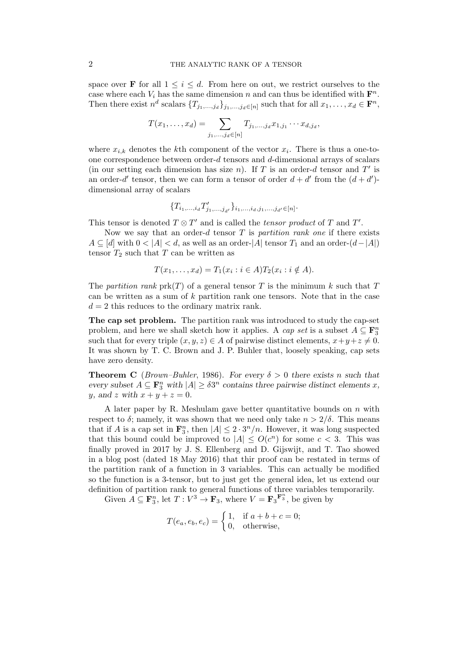space over **F** for all  $1 \leq i \leq d$ . From here on out, we restrict ourselves to the case where each  $V_i$  has the same dimension n and can thus be identified with  $\mathbf{F}^n$ . Then there exist  $n^d$  scalars  $\{T_{j_1,\ldots,j_d}\}_{j_1,\ldots,j_d\in[n]}$  such that for all  $x_1,\ldots,x_d\in\mathbf{F}^n$ ,

$$
T(x_1, ..., x_d) = \sum_{j_1, ..., j_d \in [n]} T_{j_1, ..., j_d} x_{1, j_1} \cdots x_{d, j_d},
$$

where  $x_{i,k}$  denotes the k<sup>th</sup> component of the vector  $x_i$ . There is thus a one-toone correspondence between order-d tensors and d-dimensional arrays of scalars (in our setting each dimension has size  $n$ ). If T is an order-d tensor and T' is an order-d' tensor, then we can form a tensor of order  $d + d'$  from the  $(d + d')$ dimensional array of scalars

$$
\{T_{i_1,\ldots,i_d}T'_{j_1,\ldots,j_{d'}}\}_{i_1,\ldots,i_d,j_1,\ldots,j_{d'}\in[n]}.
$$

This tensor is denoted  $T \otimes T'$  and is called the *tensor product* of T and T'.

Now we say that an order-d tensor  $T$  is partition rank one if there exists  $A \subseteq [d]$  with  $0 < |A| < d$ , as well as an order- $|A|$  tensor  $T_1$  and an order- $(d-|A|)$ tensor  $T_2$  such that T can be written as

$$
T(x_1,\ldots,x_d)=T_1(x_i:i\in A)T_2(x_i:i\notin A).
$$

The partition rank prk(T) of a general tensor T is the minimum k such that T can be written as a sum of  $k$  partition rank one tensors. Note that in the case  $d = 2$  this reduces to the ordinary matrix rank.

The cap set problem. The partition rank was introduced to study the cap-set problem, and here we shall sketch how it applies. A *cap set* is a subset  $A \subseteq \mathbf{F}_3^n$ such that for every triple  $(x, y, z) \in A$  of pairwise distinct elements,  $x+y+z \neq 0$ . It was shown by T. C. Brown and J. P. Buhler that, loosely speaking, cap sets have zero density.

**Theorem C** (Brown–Buhler, 1986). For every  $\delta > 0$  there exists n such that every subset  $A \subseteq \mathbf{F}_3^n$  with  $|A| \geq \delta 3^n$  contains three pairwise distinct elements x, y, and z with  $x + y + z = 0$ .

A later paper by R. Meshulam gave better quantitative bounds on  $n$  with respect to  $\delta$ ; namely, it was shown that we need only take  $n > 2/\delta$ . This means that if A is a cap set in  $\mathbf{F}_3^n$ , then  $|A| \leq 2 \cdot 3^n/n$ . However, it was long suspected that this bound could be improved to  $|A| \leq O(c^n)$  for some  $c < 3$ . This was finally proved in 2017 by J. S. Ellenberg and D. Gijswijt, and T. Tao showed in a blog post (dated 18 May 2016) that thir proof can be restated in terms of the partition rank of a function in 3 variables. This can actually be modified so the function is a 3-tensor, but to just get the general idea, let us extend our definition of partition rank to general functions of three variables temporarily.

Given  $A \subseteq \mathbf{F}_3^n$ , let  $T: V^3 \to \mathbf{F}_3$ , where  $V = \mathbf{F}_3 \mathbf{F}_3^n$ , be given by

$$
T(e_a, e_b, e_c) = \begin{cases} 1, & \text{if } a+b+c=0; \\ 0, & \text{otherwise,} \end{cases}
$$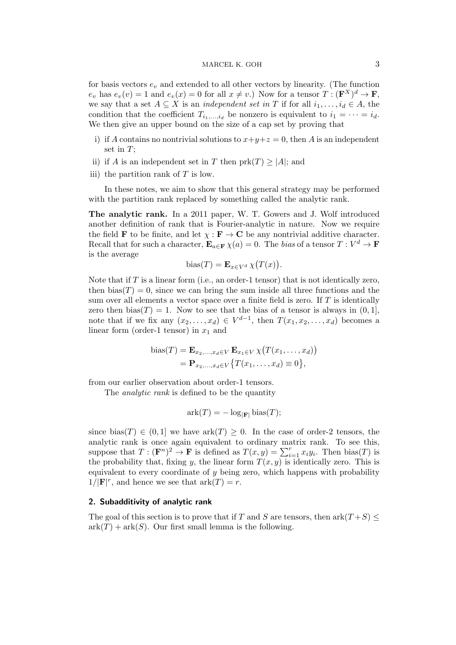# MARCEL K. GOH 3

for basis vectors  $e_v$  and extended to all other vectors by linearity. (The function  $e_v$  has  $e_v(v) = 1$  and  $e_v(x) = 0$  for all  $x \neq v$ .) Now for a tensor  $T : (\mathbf{F}^X)^d \to \mathbf{F}$ , we say that a set  $A \subseteq X$  is an *independent set in* T if for all  $i_1, \ldots, i_d \in A$ , the condition that the coefficient  $T_{i_1,\dots,i_d}$  be nonzero is equivalent to  $i_1 = \dots = i_d$ . We then give an upper bound on the size of a cap set by proving that

- i) if A contains no nontrivial solutions to  $x+y+z=0$ , then A is an independent set in  $T$ ;
- ii) if A is an independent set in T then  $prk(T) \geq |A|$ ; and
- iii) the partition rank of  $T$  is low.

In these notes, we aim to show that this general strategy may be performed with the partition rank replaced by something called the analytic rank.

The analytic rank. In a 2011 paper, W. T. Gowers and J. Wolf introduced another definition of rank that is Fourier-analytic in nature. Now we require the field **F** to be finite, and let  $\chi : \mathbf{F} \to \mathbf{C}$  be any nontrivial additive character. Recall that for such a character,  $\mathbf{E}_{a \in \mathbf{F}} \chi(a) = 0$ . The bias of a tensor  $T : V^d \to \mathbf{F}$ is the average

$$
bias(T) = \mathbf{E}_{x \in V^d} \chi(T(x)).
$$

Note that if  $T$  is a linear form (i.e., an order-1 tensor) that is not identically zero, then bias( $T$ ) = 0, since we can bring the sum inside all three functions and the sum over all elements a vector space over a finite field is zero. If  $T$  is identically zero then bias(T) = 1. Now to see that the bias of a tensor is always in  $(0, 1]$ , note that if we fix any  $(x_2, \ldots, x_d) \in V^{d-1}$ , then  $T(x_1, x_2, \ldots, x_d)$  becomes a linear form (order-1 tensor) in  $x_1$  and

bias
$$
(T)
$$
 =  $\mathbf{E}_{x_2,...,x_d \in V}$   $\mathbf{E}_{x_1 \in V} \chi(T(x_1,...,x_d))$   
=  $\mathbf{P}_{x_2,...,x_d \in V} \{ T(x_1,...,x_d) \equiv 0 \},$ 

from our earlier observation about order-1 tensors.

The *analytic rank* is defined to be the quantity

$$
ark(T) = -\log_{|\mathbf{F}|} bias(T);
$$

since bias(T)  $\in (0,1]$  we have  $\operatorname{ark}(T) \geq 0$ . In the case of order-2 tensors, the analytic rank is once again equivalent to ordinary matrix rank. To see this, suppose that  $T: (\mathbf{F}^n)^2 \to \mathbf{F}$  is defined as  $T(x, y) = \sum_{i=1}^r x_i y_i$ . Then bias(T) is the probability that, fixing y, the linear form  $T(x, y)$  is identically zero. This is equivalent to every coordinate of  $y$  being zero, which happens with probability  $1/|\mathbf{F}|^r$ , and hence we see that  $\mathrm{ark}(T) = r$ .

## 2. Subadditivity of analytic rank

The goal of this section is to prove that if T and S are tensors, then  $\operatorname{ark}(T+S)$  $ark(T) + ark(S)$ . Our first small lemma is the following.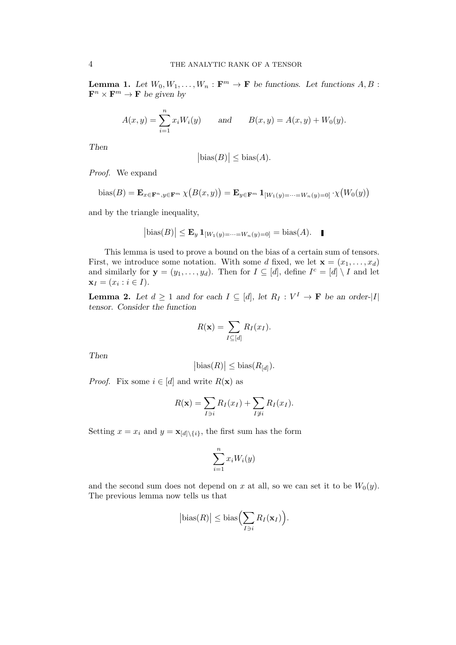**Lemma 1.** Let  $W_0, W_1, \ldots, W_n : \mathbf{F}^m \to \mathbf{F}$  be functions. Let functions  $A, B$ :  $\mathbf{F}^n \times \mathbf{F}^m \to \mathbf{F}$  be given by

$$
A(x, y) = \sum_{i=1}^{n} x_i W_i(y)
$$
 and  $B(x, y) = A(x, y) + W_0(y)$ .

Then

$$
|\text{bias}(B)| \le \text{bias}(A).
$$

Proof. We expand

bias(B) = 
$$
\mathbf{E}_{x \in \mathbf{F}^n, y \in \mathbf{F}^m} \chi(B(x, y)) = \mathbf{E}_{y \in \mathbf{F}^m} \mathbf{1}_{[W_1(y) = \cdots = W_n(y) = 0]} \cdot \chi(W_0(y))
$$

and by the triangle inequality,

$$
|\text{bias}(B)| \le \mathbf{E}_y \mathbf{1}_{[W_1(y)=\cdots=W_n(y)=0]} = \text{bias}(A).
$$

This lemma is used to prove a bound on the bias of a certain sum of tensors. First, we introduce some notation. With some d fixed, we let  $\mathbf{x} = (x_1, \ldots, x_d)$ and similarly for  $y = (y_1, \ldots, y_d)$ . Then for  $I \subseteq [d]$ , define  $I^c = [d] \setminus I$  and let  $x_I = (x_i : i \in I).$ 

**Lemma 2.** Let  $d \geq 1$  and for each  $I \subseteq [d]$ , let  $R_I : V^I \to \mathbf{F}$  be an order-|I| tensor. Consider the function

$$
R(\mathbf{x}) = \sum_{I \subseteq [d]} R_I(x_I).
$$

Then

$$
|\text{bias}(R)| \le \text{bias}(R_{[d]}).
$$

*Proof.* Fix some  $i \in [d]$  and write  $R(\mathbf{x})$  as

$$
R(\mathbf{x}) = \sum_{I \ni i} R_I(x_I) + \sum_{I \not\supset i} R_I(x_I).
$$

Setting  $x = x_i$  and  $y = \mathbf{x}_{[d] \setminus \{i\}}$ , the first sum has the form

$$
\sum_{i=1}^{n} x_i W_i(y)
$$

and the second sum does not depend on x at all, so we can set it to be  $W_0(y)$ . The previous lemma now tells us that

$$
|\text{bias}(R)| \leq \text{bias}\Big(\sum_{I \ni i} R_I(\mathbf{x}_I)\Big).
$$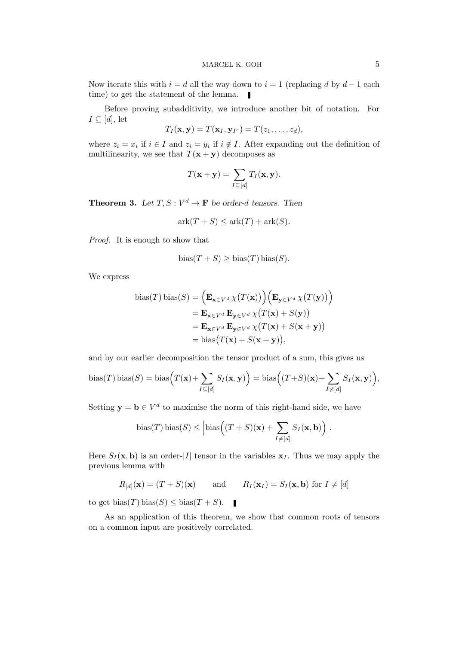Now iterate this with  $i = d$  all the way down to  $i = 1$  (replacing d by  $d - 1$  each time) to get the statement of the lemma.  $\blacksquare$ 

Before proving subadditivity, we introduce another bit of notation. For  $I \subseteq [d]$ , let

$$
T_I(\mathbf{x}, \mathbf{y}) = T(\mathbf{x}_I, \mathbf{y}_{I^c}) = T(z_1, \dots, z_d),
$$

where  $z_i = x_i$  if  $i \in I$  and  $z_i = y_i$  if  $i \notin I$ . After expanding out the definition of multilinearity, we see that  $T(\mathbf{x} + \mathbf{y})$  decomposes as

$$
T(\mathbf{x} + \mathbf{y}) = \sum_{I \subseteq [d]} T_I(\mathbf{x}, \mathbf{y}).
$$

**Theorem 3.** Let  $T, S: V^d \to \mathbf{F}$  be order-d tensors. Then

$$
ark(T + S) \leq ark(T) + ark(S).
$$

Proof. It is enough to show that

$$
bias(T + S) \geq bias(T) bias(S).
$$

We express

bias(T) bias(S) = 
$$
\left(\mathbf{E}_{\mathbf{x}\in V^d} \chi(T(\mathbf{x}))\right) \left(\mathbf{E}_{\mathbf{y}\in V^d} \chi(T(\mathbf{y}))\right)
$$

$$
= \mathbf{E}_{\mathbf{x}\in V^d} \mathbf{E}_{\mathbf{y}\in V^d} \chi(T(\mathbf{x}) + S(\mathbf{y}))
$$

$$
= \mathbf{E}_{\mathbf{x}\in V^d} \mathbf{E}_{\mathbf{y}\in V^d} \chi(T(\mathbf{x}) + S(\mathbf{x} + \mathbf{y}))
$$

$$
= \text{bias}(T(\mathbf{x}) + S(\mathbf{x} + \mathbf{y})),
$$

and by our earlier decomposition the tensor product of a sum, this gives us

bias(T) bias(S) = bias
$$
(T(\mathbf{x}) + \sum_{I \subseteq [d]} S_I(\mathbf{x}, \mathbf{y}))
$$
 = bias $((T+S)(\mathbf{x}) + \sum_{I \neq [d]} S_I(\mathbf{x}, \mathbf{y})),$ 

Setting  $y = b \in V^d$  to maximise the norm of this right-hand side, we have

bias
$$
(T)
$$
 bias $(S) \leq \left| \text{bias} \left( (T + S)(\mathbf{x}) + \sum_{I \neq [d]} S_I(\mathbf{x}, \mathbf{b}) \right) \right|$ .

Here  $S_I(\mathbf{x}, \mathbf{b})$  is an order-|I| tensor in the variables  $\mathbf{x}_I$ . Thus we may apply the previous lemma with

$$
R_{[d]}(\mathbf{x}) = (T + S)(\mathbf{x})
$$
 and  $R_I(\mathbf{x}_I) = S_I(\mathbf{x}, \mathbf{b})$  for  $I \neq [d]$ 

to get bias(T) bias(S)  $\leq$  bias(T + S).

As an application of this theorem, we show that common roots of tensors on a common input are positively correlated.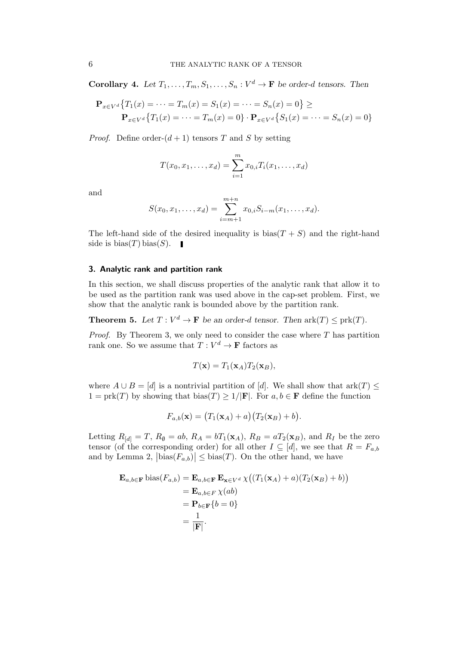**Corollary 4.** Let  $T_1, \ldots, T_m, S_1, \ldots, S_n : V^d \to \mathbf{F}$  be order-d tensors. Then

$$
\mathbf{P}_{x \in V^d} \{ T_1(x) = \dots = T_m(x) = S_1(x) = \dots = S_n(x) = 0 \} \ge
$$
  

$$
\mathbf{P}_{x \in V^d} \{ T_1(x) = \dots = T_m(x) = 0 \} \cdot \mathbf{P}_{x \in V^d} \{ S_1(x) = \dots = S_n(x) = 0 \}
$$

*Proof.* Define order- $(d + 1)$  tensors T and S by setting

$$
T(x_0, x_1, \dots, x_d) = \sum_{i=1}^m x_{0,i} T_i(x_1, \dots, x_d)
$$

and

$$
S(x_0, x_1, \dots, x_d) = \sum_{i=m+1}^{m+n} x_{0,i} S_{i-m}(x_1, \dots, x_d).
$$

The left-hand side of the desired inequality is  $bias(T + S)$  and the right-hand side is  $bias(T) bias(S)$ .

# 3. Analytic rank and partition rank

In this section, we shall discuss properties of the analytic rank that allow it to be used as the partition rank was used above in the cap-set problem. First, we show that the analytic rank is bounded above by the partition rank.

**Theorem 5.** Let  $T: V^d \to \mathbf{F}$  be an order-d tensor. Then  $\mathrm{ark}(T) \leq \mathrm{prk}(T)$ .

*Proof.* By Theorem 3, we only need to consider the case where  $T$  has partition rank one. So we assume that  $T: V^d \to \mathbf{F}$  factors as

$$
T(\mathbf{x}) = T_1(\mathbf{x}_A) T_2(\mathbf{x}_B),
$$

where  $A \cup B = [d]$  is a nontrivial partition of [d]. We shall show that ark $(T) \leq$  $1 = \text{prk}(T)$  by showing that  $\text{bias}(T) \geq 1/|\mathbf{F}|$ . For  $a, b \in \mathbf{F}$  define the function

$$
F_{a,b}(\mathbf{x}) = (T_1(\mathbf{x}_A) + a)(T_2(\mathbf{x}_B) + b).
$$

Letting  $R_{[d]} = T$ ,  $R_{\emptyset} = ab$ ,  $R_A = bT_1(\mathbf{x}_A)$ ,  $R_B = aT_2(\mathbf{x}_B)$ , and  $R_I$  be the zero tensor (of the corresponding order) for all other  $I \subseteq [d]$ , we see that  $R = F_{a,b}$ and by Lemma 2,  $|\text{bias}(F_{a,b})| \leq \text{bias}(T)$ . On the other hand, we have

$$
\mathbf{E}_{a,b \in \mathbf{F}} \text{ bias}(F_{a,b}) = \mathbf{E}_{a,b \in \mathbf{F}} \mathbf{E}_{\mathbf{x} \in V^d} \chi((T_1(\mathbf{x}_A) + a)(T_2(\mathbf{x}_B) + b))
$$
  
=  $\mathbf{E}_{a,b \in F} \chi(ab)$   
=  $\mathbf{P}_{b \in \mathbf{F}} \{b = 0\}$   
=  $\frac{1}{|\mathbf{F}|}$ .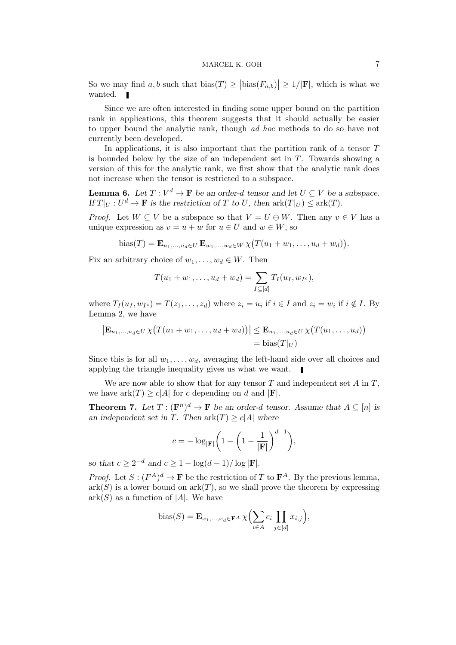So we may find a, b such that  $\text{bias}(T) \geq |\text{bias}(F_{a,b})| \geq 1/|\mathbf{F}|$ , which is what we wanted.  $\blacksquare$ 

Since we are often interested in finding some upper bound on the partition rank in applications, this theorem suggests that it should actually be easier to upper bound the analytic rank, though ad hoc methods to do so have not currently been developed.

In applications, it is also important that the partition rank of a tensor  $T$ is bounded below by the size of an independent set in  $T$ . Towards showing a version of this for the analytic rank, we first show that the analytic rank does not increase when the tensor is restricted to a subspace.

**Lemma 6.** Let  $T: V^d \to \mathbf{F}$  be an order-d tensor and let  $U \subseteq V$  be a subspace. If  $T|_U: U^d \to \mathbf{F}$  is the restriction of T to U, then  $\mathrm{ark}(T|_U) \leq \mathrm{ark}(T)$ .

*Proof.* Let  $W \subseteq V$  be a subspace so that  $V = U \oplus W$ . Then any  $v \in V$  has a unique expression as  $v = u + w$  for  $u \in U$  and  $w \in W$ , so

bias
$$
(T)
$$
 =  $\mathbf{E}_{u_1,...,u_d \in U} \mathbf{E}_{w_1,...,w_d \in W} \chi (T(u_1 + w_1,...,u_d + w_d)).$ 

Fix an arbitrary choice of  $w_1, \ldots, w_d \in W$ . Then

$$
T(u_1 + w_1, \dots, u_d + w_d) = \sum_{I \subseteq [d]} T_I(u_I, w_{I^c}),
$$

where  $T_I(u_I, w_{I^c}) = T(z_1, \ldots, z_d)$  where  $z_i = u_i$  if  $i \in I$  and  $z_i = w_i$  if  $i \notin I$ . By Lemma 2, we have

$$
|\mathbf{E}_{u_1,...,u_d \in U} \chi(T(u_1 + w_1,...,u_d + w_d))| \leq \mathbf{E}_{u_1,...,u_d \in U} \chi(T(u_1,...,u_d))
$$
  
= bias $(T|_U)$ 

Since this is for all  $w_1, \ldots, w_d$ , averaging the left-hand side over all choices and applying the triangle inequality gives us what we want.

We are now able to show that for any tensor  $T$  and independent set  $A$  in  $T$ , we have  $\mathrm{ark}(T) \geq c|A|$  for c depending on d and  $|\mathbf{F}|$ .

**Theorem 7.** Let  $T : (\mathbf{F}^n)^d \to \mathbf{F}$  be an order-d tensor. Assume that  $A \subseteq [n]$  is an independent set in T. Then  $\operatorname{ark}(T) \ge c|A|$  where

$$
c = -\log_{|\mathbf{F}|} \left( 1 - \left( 1 - \frac{1}{|\mathbf{F}|} \right)^{d-1} \right),
$$

so that  $c \geq 2^{-d}$  and  $c \geq 1 - \log(d-1)/\log|\mathbf{F}|$ .

*Proof.* Let  $S: (F^A)^d \to \mathbf{F}$  be the restriction of T to  $\mathbf{F}^A$ . By the previous lemma,  $ark(S)$  is a lower bound on  $ark(T)$ , so we shall prove the theorem by expressing  $ark(S)$  as a function of |A|. We have

bias(S) = 
$$
\mathbf{E}_{x_1,\dots,x_d \in \mathbf{F}^A} \chi \Biggl( \sum_{i \in A} c_i \prod_{j \in [d]} x_{i,j} \Biggr),
$$